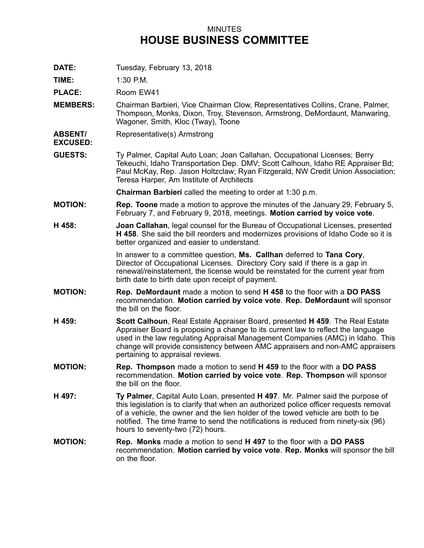## MINUTES **HOUSE BUSINESS COMMITTEE**

**DATE:** Tuesday, February 13, 2018

**TIME:** 1:30 P.M.

**EXCUSED:**

**PLACE:** Room EW41

- **MEMBERS:** Chairman Barbieri, Vice Chairman Clow, Representatives Collins, Crane, Palmer, Thompson, Monks, Dixon, Troy, Stevenson, Armstrong, DeMordaunt, Manwaring, Wagoner, Smith, Kloc (Tway), Toone
- **ABSENT/** Representative(s) Armstrong
- **GUESTS:** Ty Palmer, Capital Auto Loan; Joan Callahan, Occupational Licenses; Berry Tekeuchi, Idaho Transportation Dep. DMV; Scott Calhoun, Idaho RE Appraiser Bd; Paul McKay, Rep. Jason Holtzclaw; Ryan Fitzgerald, NW Credit Union Association; Teresa Harper, Am Institute of Architects

**Chairman Barbieri** called the meeting to order at 1:30 p.m.

- **MOTION: Rep. Toone** made <sup>a</sup> motion to approve the minutes of the January 29, February 5, February 7, and February 9, 2018, meetings. **Motion carried by voice vote**.
- **H 458: Joan Callahan**, legal counsel for the Bureau of Occupational Licenses, presented **H 458**. She said the bill reorders and modernizes provisions of Idaho Code so it is better organized and easier to understand.

In answer to <sup>a</sup> committee question, **Ms. Callhan** deferred to **Tana Cory**, Director of Occupational Licenses. Directory Cory said if there is <sup>a</sup> gap in renewal/reinstatement, the license would be reinstated for the current year from birth date to birth date upon receipt of payment.

- **MOTION: Rep. DeMordaunt** made <sup>a</sup> motion to send **H 458** to the floor with <sup>a</sup> **DO PASS** recommendation. **Motion carried by voice vote**. **Rep. DeMordaunt** will sponsor the bill on the floor.
- **H 459: Scott Calhoun**, Real Estate Appraiser Board, presented **H 459**. The Real Estate Appraiser Board is proposing <sup>a</sup> change to its current law to reflect the language used in the law regulating Appraisal Management Companies (AMC) in Idaho. This change will provide consistency between AMC appraisers and non-AMC appraisers pertaining to appraisal reviews.
- **MOTION: Rep. Thompson** made <sup>a</sup> motion to send **H 459** to the floor with <sup>a</sup> **DO PASS** recommendation. **Motion carried by voice vote**. **Rep. Thompson** will sponsor the bill on the floor.
- **H 497: Ty Palmer**, Capital Auto Loan, presented **H 497**. Mr. Palmer said the purpose of this legislation is to clarify that when an authorized police officer requests removal of <sup>a</sup> vehicle, the owner and the lien holder of the towed vehicle are both to be notified. The time frame to send the notifications is reduced from ninety-six (96) hours to seventy-two (72) hours.
- **MOTION: Rep. Monks** made <sup>a</sup> motion to send **H 497** to the floor with <sup>a</sup> **DO PASS** recommendation. **Motion carried by voice vote**. **Rep. Monks** will sponsor the bill on the floor.